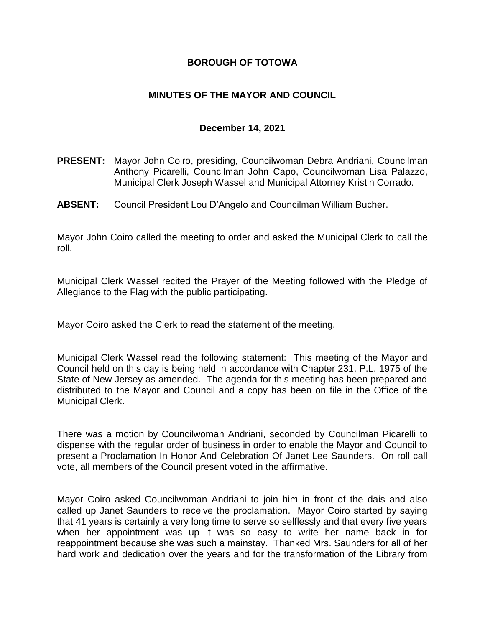## **BOROUGH OF TOTOWA**

## **MINUTES OF THE MAYOR AND COUNCIL**

## **December 14, 2021**

- **PRESENT:** Mayor John Coiro, presiding, Councilwoman Debra Andriani, Councilman Anthony Picarelli, Councilman John Capo, Councilwoman Lisa Palazzo, Municipal Clerk Joseph Wassel and Municipal Attorney Kristin Corrado.
- **ABSENT:** Council President Lou D'Angelo and Councilman William Bucher.

Mayor John Coiro called the meeting to order and asked the Municipal Clerk to call the roll.

Municipal Clerk Wassel recited the Prayer of the Meeting followed with the Pledge of Allegiance to the Flag with the public participating.

Mayor Coiro asked the Clerk to read the statement of the meeting.

Municipal Clerk Wassel read the following statement: This meeting of the Mayor and Council held on this day is being held in accordance with Chapter 231, P.L. 1975 of the State of New Jersey as amended. The agenda for this meeting has been prepared and distributed to the Mayor and Council and a copy has been on file in the Office of the Municipal Clerk.

There was a motion by Councilwoman Andriani, seconded by Councilman Picarelli to dispense with the regular order of business in order to enable the Mayor and Council to present a Proclamation In Honor And Celebration Of Janet Lee Saunders. On roll call vote, all members of the Council present voted in the affirmative.

Mayor Coiro asked Councilwoman Andriani to join him in front of the dais and also called up Janet Saunders to receive the proclamation. Mayor Coiro started by saying that 41 years is certainly a very long time to serve so selflessly and that every five years when her appointment was up it was so easy to write her name back in for reappointment because she was such a mainstay. Thanked Mrs. Saunders for all of her hard work and dedication over the years and for the transformation of the Library from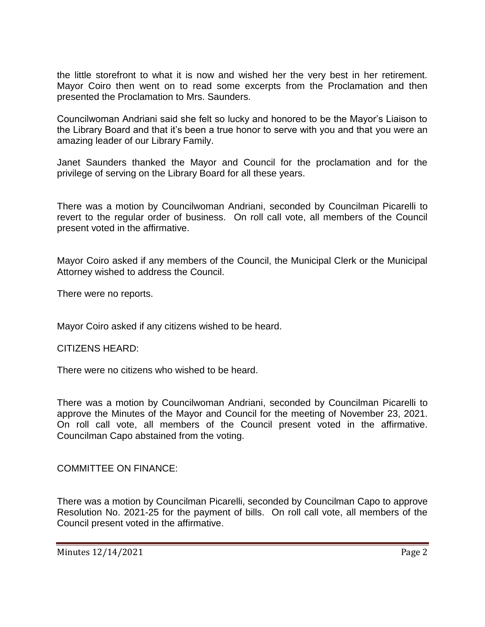the little storefront to what it is now and wished her the very best in her retirement. Mayor Coiro then went on to read some excerpts from the Proclamation and then presented the Proclamation to Mrs. Saunders.

Councilwoman Andriani said she felt so lucky and honored to be the Mayor's Liaison to the Library Board and that it's been a true honor to serve with you and that you were an amazing leader of our Library Family.

Janet Saunders thanked the Mayor and Council for the proclamation and for the privilege of serving on the Library Board for all these years.

There was a motion by Councilwoman Andriani, seconded by Councilman Picarelli to revert to the regular order of business. On roll call vote, all members of the Council present voted in the affirmative.

Mayor Coiro asked if any members of the Council, the Municipal Clerk or the Municipal Attorney wished to address the Council.

There were no reports.

Mayor Coiro asked if any citizens wished to be heard.

## CITIZENS HEARD:

There were no citizens who wished to be heard.

There was a motion by Councilwoman Andriani, seconded by Councilman Picarelli to approve the Minutes of the Mayor and Council for the meeting of November 23, 2021. On roll call vote, all members of the Council present voted in the affirmative. Councilman Capo abstained from the voting.

COMMITTEE ON FINANCE:

There was a motion by Councilman Picarelli, seconded by Councilman Capo to approve Resolution No. 2021-25 for the payment of bills. On roll call vote, all members of the Council present voted in the affirmative.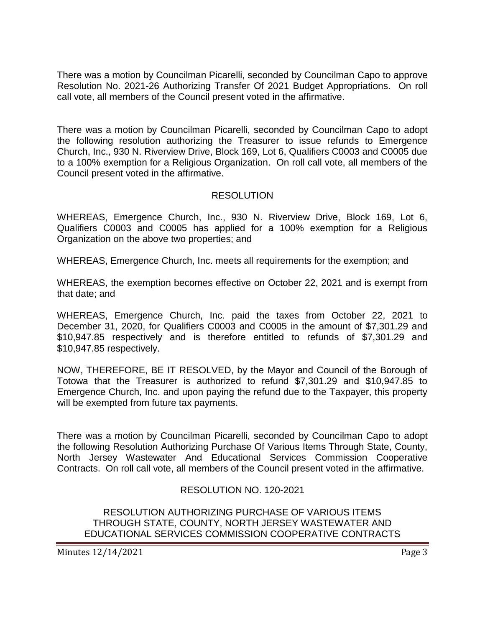There was a motion by Councilman Picarelli, seconded by Councilman Capo to approve Resolution No. 2021-26 Authorizing Transfer Of 2021 Budget Appropriations. On roll call vote, all members of the Council present voted in the affirmative.

There was a motion by Councilman Picarelli, seconded by Councilman Capo to adopt the following resolution authorizing the Treasurer to issue refunds to Emergence Church, Inc., 930 N. Riverview Drive, Block 169, Lot 6, Qualifiers C0003 and C0005 due to a 100% exemption for a Religious Organization. On roll call vote, all members of the Council present voted in the affirmative.

## RESOLUTION

WHEREAS, Emergence Church, Inc., 930 N. Riverview Drive, Block 169, Lot 6, Qualifiers C0003 and C0005 has applied for a 100% exemption for a Religious Organization on the above two properties; and

WHEREAS, Emergence Church, Inc. meets all requirements for the exemption; and

WHEREAS, the exemption becomes effective on October 22, 2021 and is exempt from that date; and

WHEREAS, Emergence Church, Inc. paid the taxes from October 22, 2021 to December 31, 2020, for Qualifiers C0003 and C0005 in the amount of \$7,301.29 and \$10,947.85 respectively and is therefore entitled to refunds of \$7,301.29 and \$10,947.85 respectively.

NOW, THEREFORE, BE IT RESOLVED, by the Mayor and Council of the Borough of Totowa that the Treasurer is authorized to refund \$7,301.29 and \$10,947.85 to Emergence Church, Inc. and upon paying the refund due to the Taxpayer, this property will be exempted from future tax payments.

There was a motion by Councilman Picarelli, seconded by Councilman Capo to adopt the following Resolution Authorizing Purchase Of Various Items Through State, County, North Jersey Wastewater And Educational Services Commission Cooperative Contracts. On roll call vote, all members of the Council present voted in the affirmative.

# RESOLUTION NO. 120-2021

RESOLUTION AUTHORIZING PURCHASE OF VARIOUS ITEMS THROUGH STATE, COUNTY, NORTH JERSEY WASTEWATER AND EDUCATIONAL SERVICES COMMISSION COOPERATIVE CONTRACTS

Minutes 12/14/2021 **Page 3**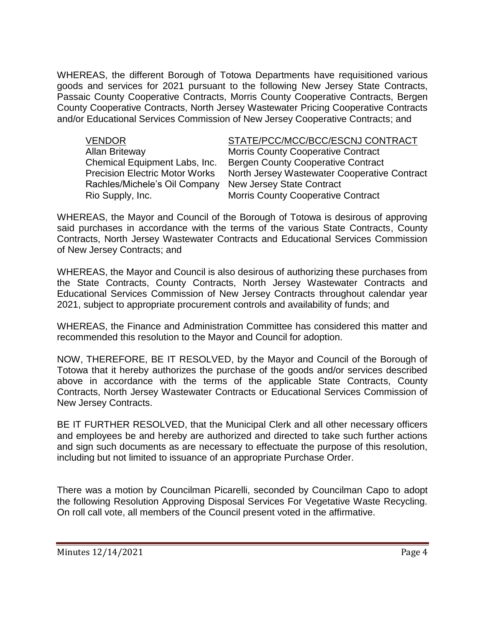WHEREAS, the different Borough of Totowa Departments have requisitioned various goods and services for 2021 pursuant to the following New Jersey State Contracts, Passaic County Cooperative Contracts, Morris County Cooperative Contracts, Bergen County Cooperative Contracts, North Jersey Wastewater Pricing Cooperative Contracts and/or Educational Services Commission of New Jersey Cooperative Contracts; and

Rachles/Michele's Oil Company New Jersey State Contract

## VENDOR STATE/PCC/MCC/BCC/ESCNJ CONTRACT

Allan Briteway **Morris County Cooperative Contract** Chemical Equipment Labs, Inc. Bergen County Cooperative Contract Precision Electric Motor Works North Jersey Wastewater Cooperative Contract Rio Supply, Inc. Morris County Cooperative Contract

WHEREAS, the Mayor and Council of the Borough of Totowa is desirous of approving said purchases in accordance with the terms of the various State Contracts, County Contracts, North Jersey Wastewater Contracts and Educational Services Commission of New Jersey Contracts; and

WHEREAS, the Mayor and Council is also desirous of authorizing these purchases from the State Contracts, County Contracts, North Jersey Wastewater Contracts and Educational Services Commission of New Jersey Contracts throughout calendar year 2021, subject to appropriate procurement controls and availability of funds; and

WHEREAS, the Finance and Administration Committee has considered this matter and recommended this resolution to the Mayor and Council for adoption.

NOW, THEREFORE, BE IT RESOLVED, by the Mayor and Council of the Borough of Totowa that it hereby authorizes the purchase of the goods and/or services described above in accordance with the terms of the applicable State Contracts, County Contracts, North Jersey Wastewater Contracts or Educational Services Commission of New Jersey Contracts.

BE IT FURTHER RESOLVED, that the Municipal Clerk and all other necessary officers and employees be and hereby are authorized and directed to take such further actions and sign such documents as are necessary to effectuate the purpose of this resolution, including but not limited to issuance of an appropriate Purchase Order.

There was a motion by Councilman Picarelli, seconded by Councilman Capo to adopt the following Resolution Approving Disposal Services For Vegetative Waste Recycling. On roll call vote, all members of the Council present voted in the affirmative.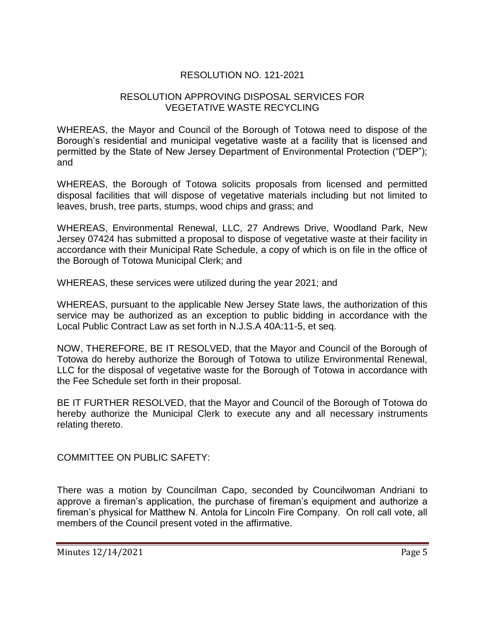# RESOLUTION NO. 121-2021

## RESOLUTION APPROVING DISPOSAL SERVICES FOR VEGETATIVE WASTE RECYCLING

WHEREAS, the Mayor and Council of the Borough of Totowa need to dispose of the Borough's residential and municipal vegetative waste at a facility that is licensed and permitted by the State of New Jersey Department of Environmental Protection ("DEP"); and

WHEREAS, the Borough of Totowa solicits proposals from licensed and permitted disposal facilities that will dispose of vegetative materials including but not limited to leaves, brush, tree parts, stumps, wood chips and grass; and

WHEREAS, Environmental Renewal, LLC, 27 Andrews Drive, Woodland Park, New Jersey 07424 has submitted a proposal to dispose of vegetative waste at their facility in accordance with their Municipal Rate Schedule, a copy of which is on file in the office of the Borough of Totowa Municipal Clerk; and

WHEREAS, these services were utilized during the year 2021; and

WHEREAS, pursuant to the applicable New Jersey State laws, the authorization of this service may be authorized as an exception to public bidding in accordance with the Local Public Contract Law as set forth in N.J.S.A 40A:11-5, et seq.

NOW, THEREFORE, BE IT RESOLVED, that the Mayor and Council of the Borough of Totowa do hereby authorize the Borough of Totowa to utilize Environmental Renewal, LLC for the disposal of vegetative waste for the Borough of Totowa in accordance with the Fee Schedule set forth in their proposal.

BE IT FURTHER RESOLVED, that the Mayor and Council of the Borough of Totowa do hereby authorize the Municipal Clerk to execute any and all necessary instruments relating thereto.

COMMITTEE ON PUBLIC SAFETY:

There was a motion by Councilman Capo, seconded by Councilwoman Andriani to approve a fireman's application, the purchase of fireman's equipment and authorize a fireman's physical for Matthew N. Antola for Lincoln Fire Company. On roll call vote, all members of the Council present voted in the affirmative.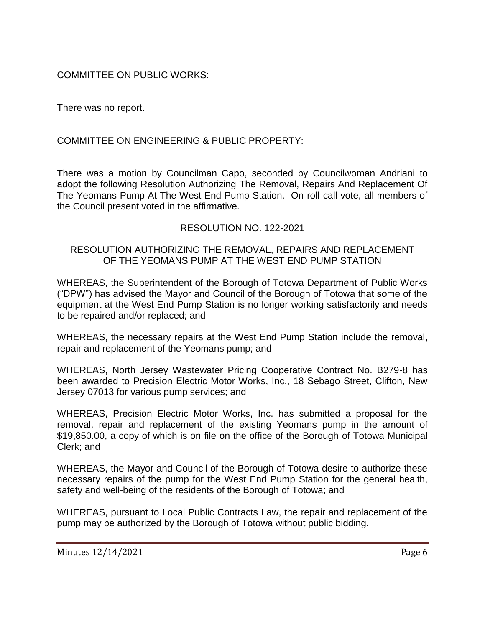# COMMITTEE ON PUBLIC WORKS:

There was no report.

# COMMITTEE ON ENGINEERING & PUBLIC PROPERTY:

There was a motion by Councilman Capo, seconded by Councilwoman Andriani to adopt the following Resolution Authorizing The Removal, Repairs And Replacement Of The Yeomans Pump At The West End Pump Station. On roll call vote, all members of the Council present voted in the affirmative.

# RESOLUTION NO. 122-2021

## RESOLUTION AUTHORIZING THE REMOVAL, REPAIRS AND REPLACEMENT OF THE YEOMANS PUMP AT THE WEST END PUMP STATION

WHEREAS, the Superintendent of the Borough of Totowa Department of Public Works ("DPW") has advised the Mayor and Council of the Borough of Totowa that some of the equipment at the West End Pump Station is no longer working satisfactorily and needs to be repaired and/or replaced; and

WHEREAS, the necessary repairs at the West End Pump Station include the removal, repair and replacement of the Yeomans pump; and

WHEREAS, North Jersey Wastewater Pricing Cooperative Contract No. B279-8 has been awarded to Precision Electric Motor Works, Inc., 18 Sebago Street, Clifton, New Jersey 07013 for various pump services; and

WHEREAS, Precision Electric Motor Works, Inc. has submitted a proposal for the removal, repair and replacement of the existing Yeomans pump in the amount of \$19,850.00, a copy of which is on file on the office of the Borough of Totowa Municipal Clerk; and

WHEREAS, the Mayor and Council of the Borough of Totowa desire to authorize these necessary repairs of the pump for the West End Pump Station for the general health, safety and well-being of the residents of the Borough of Totowa; and

WHEREAS, pursuant to Local Public Contracts Law, the repair and replacement of the pump may be authorized by the Borough of Totowa without public bidding.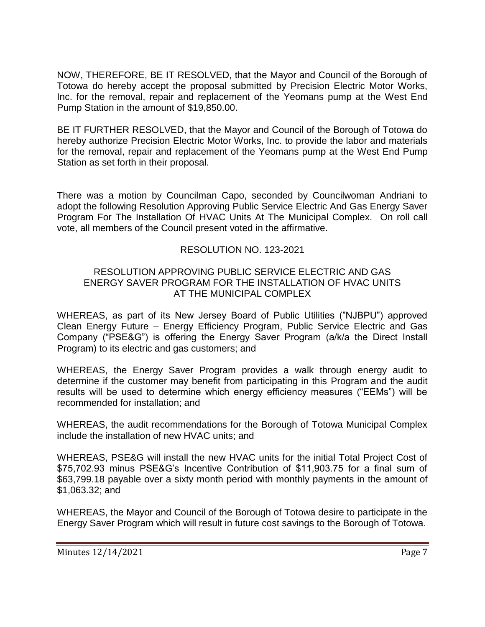NOW, THEREFORE, BE IT RESOLVED, that the Mayor and Council of the Borough of Totowa do hereby accept the proposal submitted by Precision Electric Motor Works, Inc. for the removal, repair and replacement of the Yeomans pump at the West End Pump Station in the amount of \$19,850.00.

BE IT FURTHER RESOLVED, that the Mayor and Council of the Borough of Totowa do hereby authorize Precision Electric Motor Works, Inc. to provide the labor and materials for the removal, repair and replacement of the Yeomans pump at the West End Pump Station as set forth in their proposal.

There was a motion by Councilman Capo, seconded by Councilwoman Andriani to adopt the following Resolution Approving Public Service Electric And Gas Energy Saver Program For The Installation Of HVAC Units At The Municipal Complex. On roll call vote, all members of the Council present voted in the affirmative.

# RESOLUTION NO. 123-2021

## RESOLUTION APPROVING PUBLIC SERVICE ELECTRIC AND GAS ENERGY SAVER PROGRAM FOR THE INSTALLATION OF HVAC UNITS AT THE MUNICIPAL COMPLEX

WHEREAS, as part of its New Jersey Board of Public Utilities ("NJBPU") approved Clean Energy Future – Energy Efficiency Program, Public Service Electric and Gas Company ("PSE&G") is offering the Energy Saver Program (a/k/a the Direct Install Program) to its electric and gas customers; and

WHEREAS, the Energy Saver Program provides a walk through energy audit to determine if the customer may benefit from participating in this Program and the audit results will be used to determine which energy efficiency measures ("EEMs") will be recommended for installation; and

WHEREAS, the audit recommendations for the Borough of Totowa Municipal Complex include the installation of new HVAC units; and

WHEREAS, PSE&G will install the new HVAC units for the initial Total Project Cost of \$75,702.93 minus PSE&G's Incentive Contribution of \$11,903.75 for a final sum of \$63,799.18 payable over a sixty month period with monthly payments in the amount of \$1,063.32; and

WHEREAS, the Mayor and Council of the Borough of Totowa desire to participate in the Energy Saver Program which will result in future cost savings to the Borough of Totowa.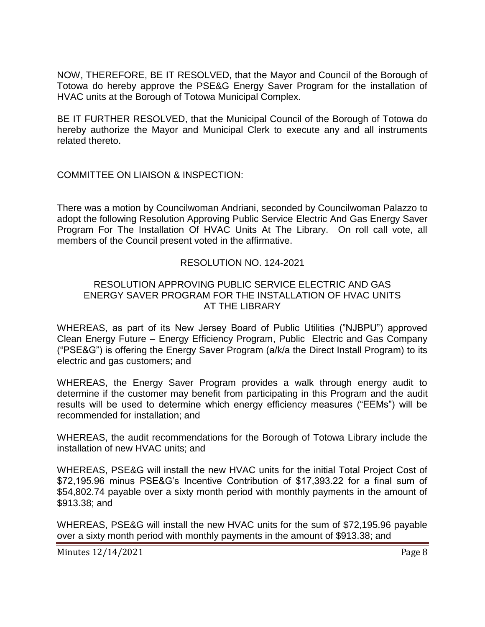NOW, THEREFORE, BE IT RESOLVED, that the Mayor and Council of the Borough of Totowa do hereby approve the PSE&G Energy Saver Program for the installation of HVAC units at the Borough of Totowa Municipal Complex.

BE IT FURTHER RESOLVED, that the Municipal Council of the Borough of Totowa do hereby authorize the Mayor and Municipal Clerk to execute any and all instruments related thereto.

COMMITTEE ON LIAISON & INSPECTION:

There was a motion by Councilwoman Andriani, seconded by Councilwoman Palazzo to adopt the following Resolution Approving Public Service Electric And Gas Energy Saver Program For The Installation Of HVAC Units At The Library. On roll call vote, all members of the Council present voted in the affirmative.

## RESOLUTION NO. 124-2021

## RESOLUTION APPROVING PUBLIC SERVICE ELECTRIC AND GAS ENERGY SAVER PROGRAM FOR THE INSTALLATION OF HVAC UNITS AT THE LIBRARY

WHEREAS, as part of its New Jersey Board of Public Utilities ("NJBPU") approved Clean Energy Future – Energy Efficiency Program, Public Electric and Gas Company ("PSE&G") is offering the Energy Saver Program (a/k/a the Direct Install Program) to its electric and gas customers; and

WHEREAS, the Energy Saver Program provides a walk through energy audit to determine if the customer may benefit from participating in this Program and the audit results will be used to determine which energy efficiency measures ("EEMs") will be recommended for installation; and

WHEREAS, the audit recommendations for the Borough of Totowa Library include the installation of new HVAC units; and

WHEREAS, PSE&G will install the new HVAC units for the initial Total Project Cost of \$72,195.96 minus PSE&G's Incentive Contribution of \$17,393.22 for a final sum of \$54,802.74 payable over a sixty month period with monthly payments in the amount of \$913.38; and

WHEREAS, PSE&G will install the new HVAC units for the sum of \$72,195.96 payable over a sixty month period with monthly payments in the amount of \$913.38; and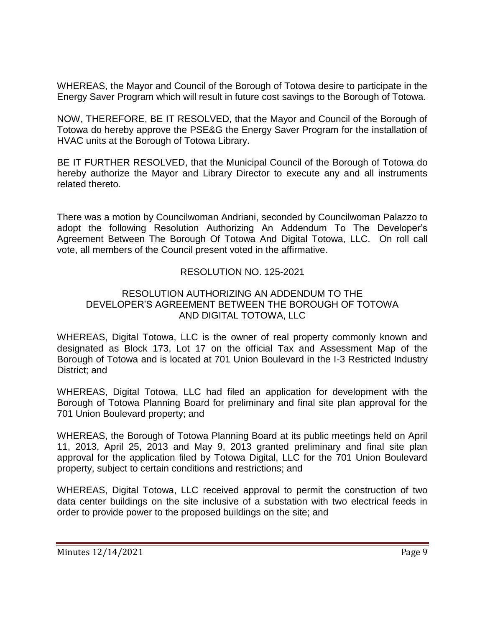WHEREAS, the Mayor and Council of the Borough of Totowa desire to participate in the Energy Saver Program which will result in future cost savings to the Borough of Totowa.

NOW, THEREFORE, BE IT RESOLVED, that the Mayor and Council of the Borough of Totowa do hereby approve the PSE&G the Energy Saver Program for the installation of HVAC units at the Borough of Totowa Library.

BE IT FURTHER RESOLVED, that the Municipal Council of the Borough of Totowa do hereby authorize the Mayor and Library Director to execute any and all instruments related thereto.

There was a motion by Councilwoman Andriani, seconded by Councilwoman Palazzo to adopt the following Resolution Authorizing An Addendum To The Developer's Agreement Between The Borough Of Totowa And Digital Totowa, LLC. On roll call vote, all members of the Council present voted in the affirmative.

## RESOLUTION NO. 125-2021

## RESOLUTION AUTHORIZING AN ADDENDUM TO THE DEVELOPER'S AGREEMENT BETWEEN THE BOROUGH OF TOTOWA AND DIGITAL TOTOWA, LLC

WHEREAS, Digital Totowa, LLC is the owner of real property commonly known and designated as Block 173, Lot 17 on the official Tax and Assessment Map of the Borough of Totowa and is located at 701 Union Boulevard in the I-3 Restricted Industry District; and

WHEREAS, Digital Totowa, LLC had filed an application for development with the Borough of Totowa Planning Board for preliminary and final site plan approval for the 701 Union Boulevard property; and

WHEREAS, the Borough of Totowa Planning Board at its public meetings held on April 11, 2013, April 25, 2013 and May 9, 2013 granted preliminary and final site plan approval for the application filed by Totowa Digital, LLC for the 701 Union Boulevard property, subject to certain conditions and restrictions; and

WHEREAS, Digital Totowa, LLC received approval to permit the construction of two data center buildings on the site inclusive of a substation with two electrical feeds in order to provide power to the proposed buildings on the site; and